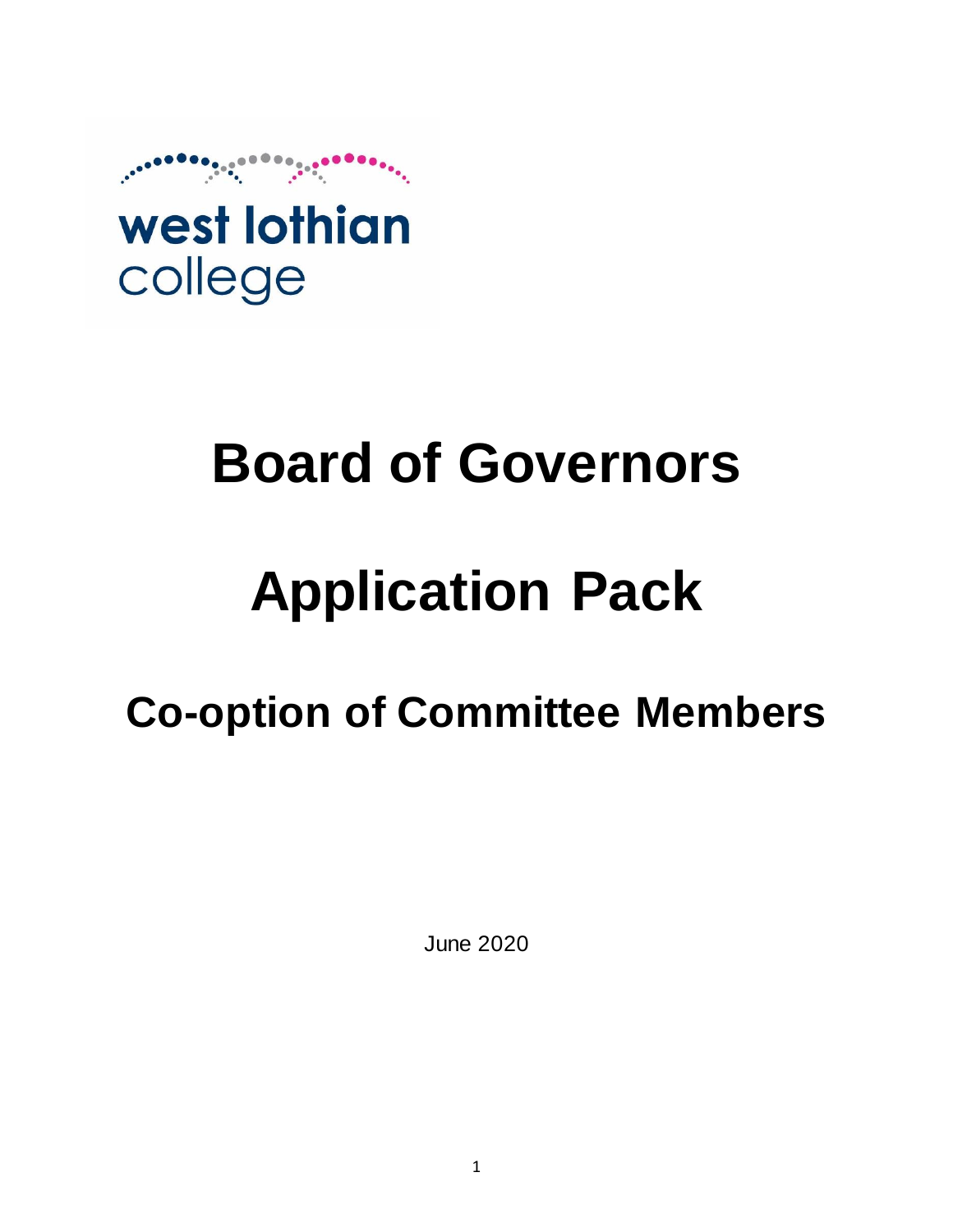



## **Board of Governors**

# **Application Pack**

### **Co-option of Committee Members**

June 2020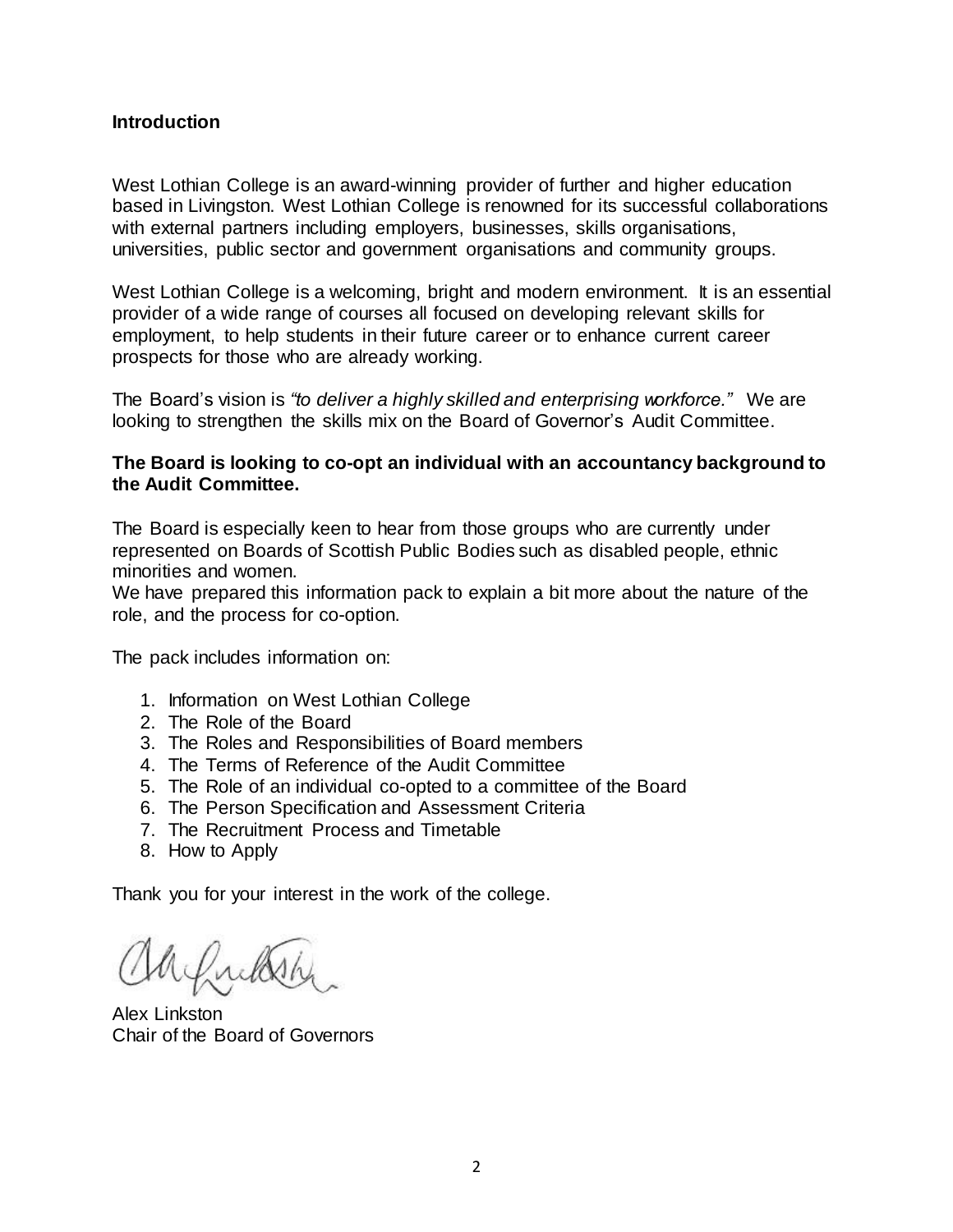#### **Introduction**

West Lothian College is an award-winning provider of further and higher education based in Livingston. West Lothian College is renowned for its successful collaborations with external partners including employers, businesses, skills organisations, universities, public sector and government organisations and community groups.

West Lothian College is a welcoming, bright and modern environment. It is an essential provider of a wide range of courses all focused on developing relevant skills for employment, to help students in their future career or to enhance current career prospects for those who are already working.

The Board's vision is *"to deliver a highly skilled and enterprising workforce."* We are looking to strengthen the skills mix on the Board of Governor's Audit Committee.

#### **The Board is looking to co-opt an individual with an accountancy background to the Audit Committee.**

The Board is especially keen to hear from those groups who are currently under represented on Boards of Scottish Public Bodies such as disabled people, ethnic minorities and women.

We have prepared this information pack to explain a bit more about the nature of the role, and the process for co-option.

The pack includes information on:

- 1. Information on West Lothian College
- 2. The Role of the Board
- 3. The Roles and Responsibilities of Board members
- 4. The Terms of Reference of the Audit Committee
- 5. The Role of an individual co-opted to a committee of the Board
- 6. The Person Specification and Assessment Criteria
- 7. The Recruitment Process and Timetable
- 8. How to Apply

Thank you for your interest in the work of the college.

Alex Linkston Chair of the Board of Governors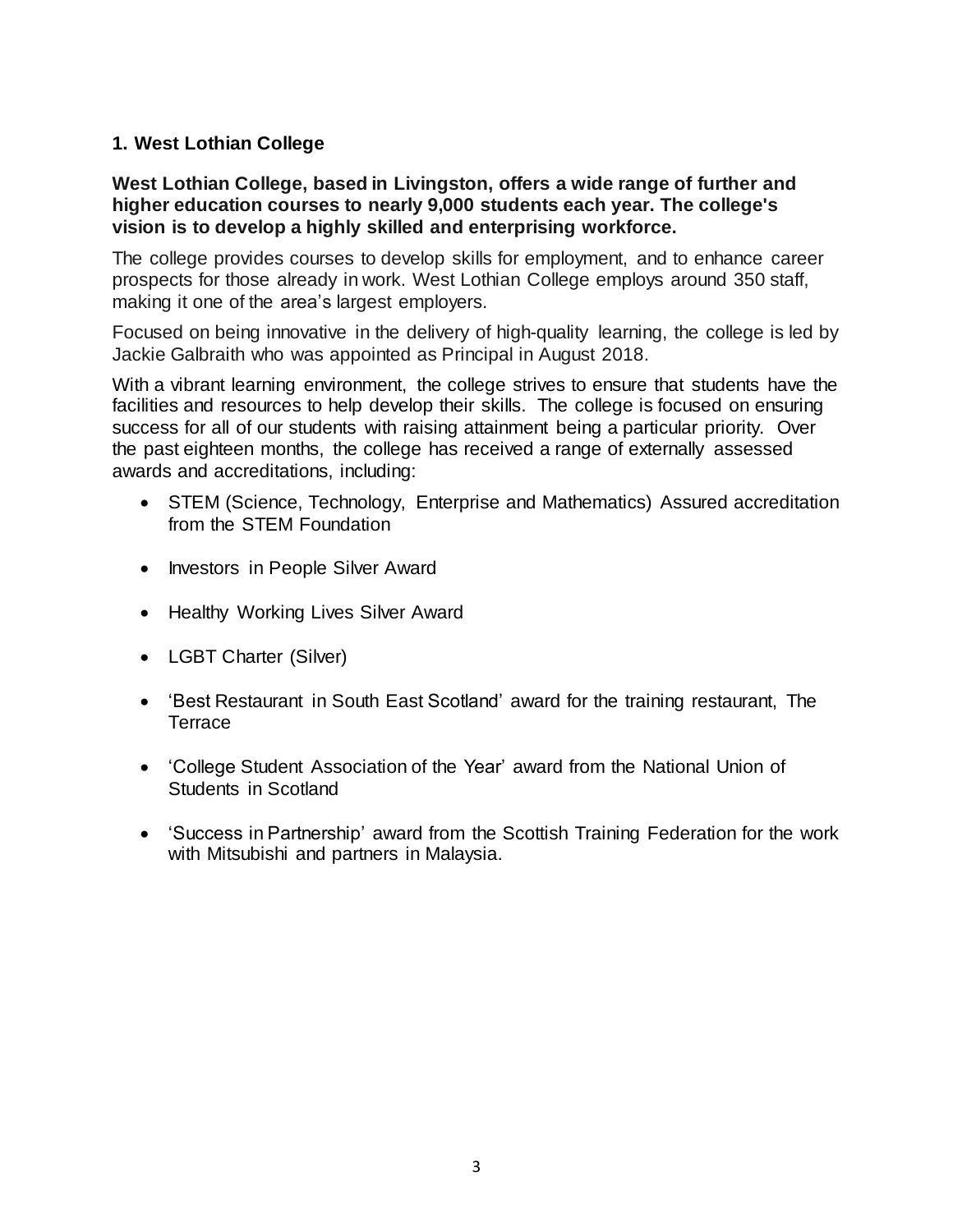#### **1. West Lothian College**

#### **West Lothian College, based in Livingston, offers a wide range of further and higher education courses to nearly 9,000 students each year. The college's vision is to develop a highly skilled and enterprising workforce.**

The college provides courses to develop skills for employment, and to enhance career prospects for those already in work. West Lothian College employs around 350 staff, making it one of the area's largest employers.

Focused on being innovative in the delivery of high-quality learning, the college is led by Jackie Galbraith who was appointed as Principal in August 2018.

With a vibrant learning environment, the college strives to ensure that students have the facilities and resources to help develop their skills. The college is focused on ensuring success for all of our students with raising attainment being a particular priority. Over the past eighteen months, the college has received a range of externally assessed awards and accreditations, including:

- STEM (Science, Technology, Enterprise and Mathematics) Assured accreditation from the STEM Foundation
- Investors in People Silver Award
- Healthy Working Lives Silver Award
- LGBT Charter (Silver)
- 'Best Restaurant in South East Scotland' award for the training restaurant, The Terrace
- 'College Student Association of the Year' award from the National Union of Students in Scotland
- 'Success in Partnership' award from the Scottish Training Federation for the work with Mitsubishi and partners in Malaysia.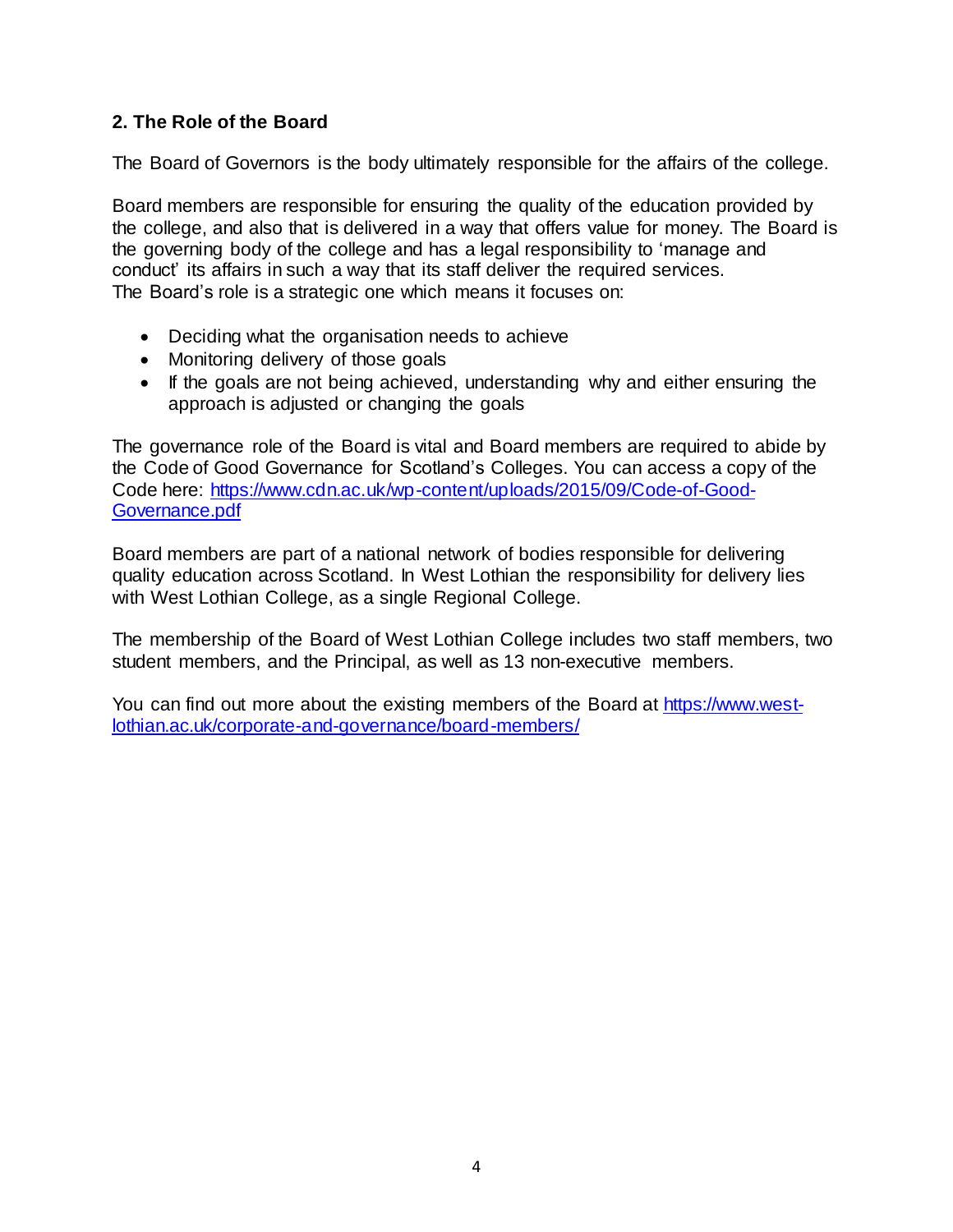#### **2. The Role of the Board**

The Board of Governors is the body ultimately responsible for the affairs of the college.

Board members are responsible for ensuring the quality of the education provided by the college, and also that is delivered in a way that offers value for money. The Board is the governing body of the college and has a legal responsibility to 'manage and conduct' its affairs in such a way that its staff deliver the required services. The Board's role is a strategic one which means it focuses on:

- Deciding what the organisation needs to achieve
- Monitoring delivery of those goals
- If the goals are not being achieved, understanding why and either ensuring the approach is adjusted or changing the goals

The governance role of the Board is vital and Board members are required to abide by the Code of Good Governance for Scotland's Colleges. You can access a copy of the Code here: [https://www.cdn.ac.uk/wp-content/uploads/2015/09/Code-of-Good-](https://www.cdn.ac.uk/wp-content/uploads/2015/09/Code-of-Good-Governance.pdf)[Governance.pdf](https://www.cdn.ac.uk/wp-content/uploads/2015/09/Code-of-Good-Governance.pdf)

Board members are part of a national network of bodies responsible for delivering quality education across Scotland. In West Lothian the responsibility for delivery lies with West Lothian College, as a single Regional College.

The membership of the Board of West Lothian College includes two staff members, two student members, and the Principal, as well as 13 non-executive members.

You can find out more about the existing members of the Board at [https://www.west](https://www.west-lothian.ac.uk/corporate-and-governance/board-members/)[lothian.ac.uk/corporate-and-governance/board-members/](https://www.west-lothian.ac.uk/corporate-and-governance/board-members/)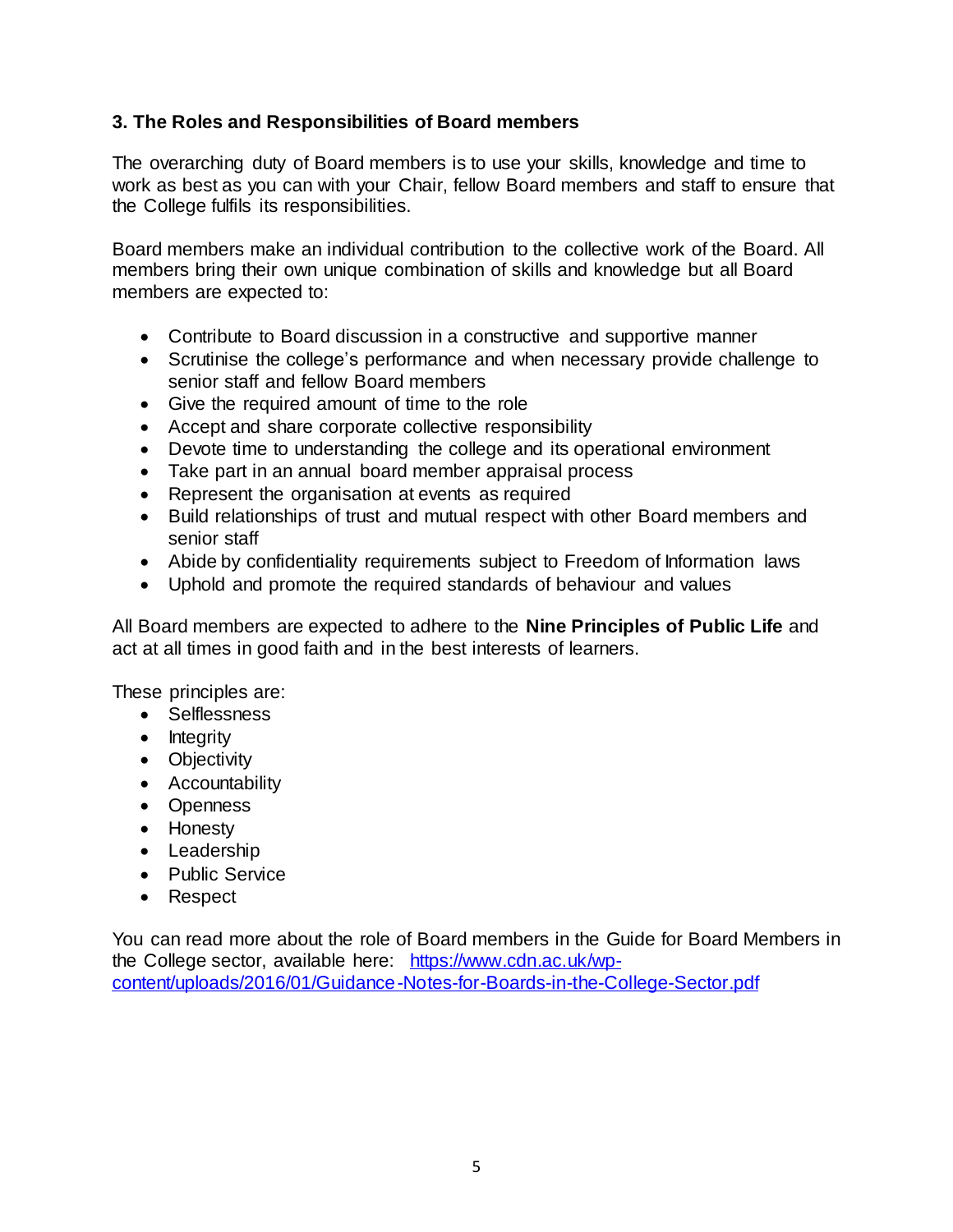#### **3. The Roles and Responsibilities of Board members**

The overarching duty of Board members is to use your skills, knowledge and time to work as best as you can with your Chair, fellow Board members and staff to ensure that the College fulfils its responsibilities.

Board members make an individual contribution to the collective work of the Board. All members bring their own unique combination of skills and knowledge but all Board members are expected to:

- Contribute to Board discussion in a constructive and supportive manner
- Scrutinise the college's performance and when necessary provide challenge to senior staff and fellow Board members
- Give the required amount of time to the role
- Accept and share corporate collective responsibility
- Devote time to understanding the college and its operational environment
- Take part in an annual board member appraisal process
- Represent the organisation at events as required
- Build relationships of trust and mutual respect with other Board members and senior staff
- Abide by confidentiality requirements subject to Freedom of Information laws
- Uphold and promote the required standards of behaviour and values

All Board members are expected to adhere to the **Nine Principles of Public Life** and act at all times in good faith and in the best interests of learners.

These principles are:

- Selflessness
- Integrity
- Objectivity
- Accountability
- Openness
- Honesty
- Leadership
- Public Service
- Respect

You can read more about the role of Board members in the Guide for Board Members in the College sector, available here: [https://www.cdn.ac.uk/wp](https://www.cdn.ac.uk/wp-content/uploads/2016/01/Guidance-Notes-for-Boards-in-the-College-Sector.pdf)[content/uploads/2016/01/Guidance-Notes-for-Boards-in-the-College-Sector.pdf](https://www.cdn.ac.uk/wp-content/uploads/2016/01/Guidance-Notes-for-Boards-in-the-College-Sector.pdf)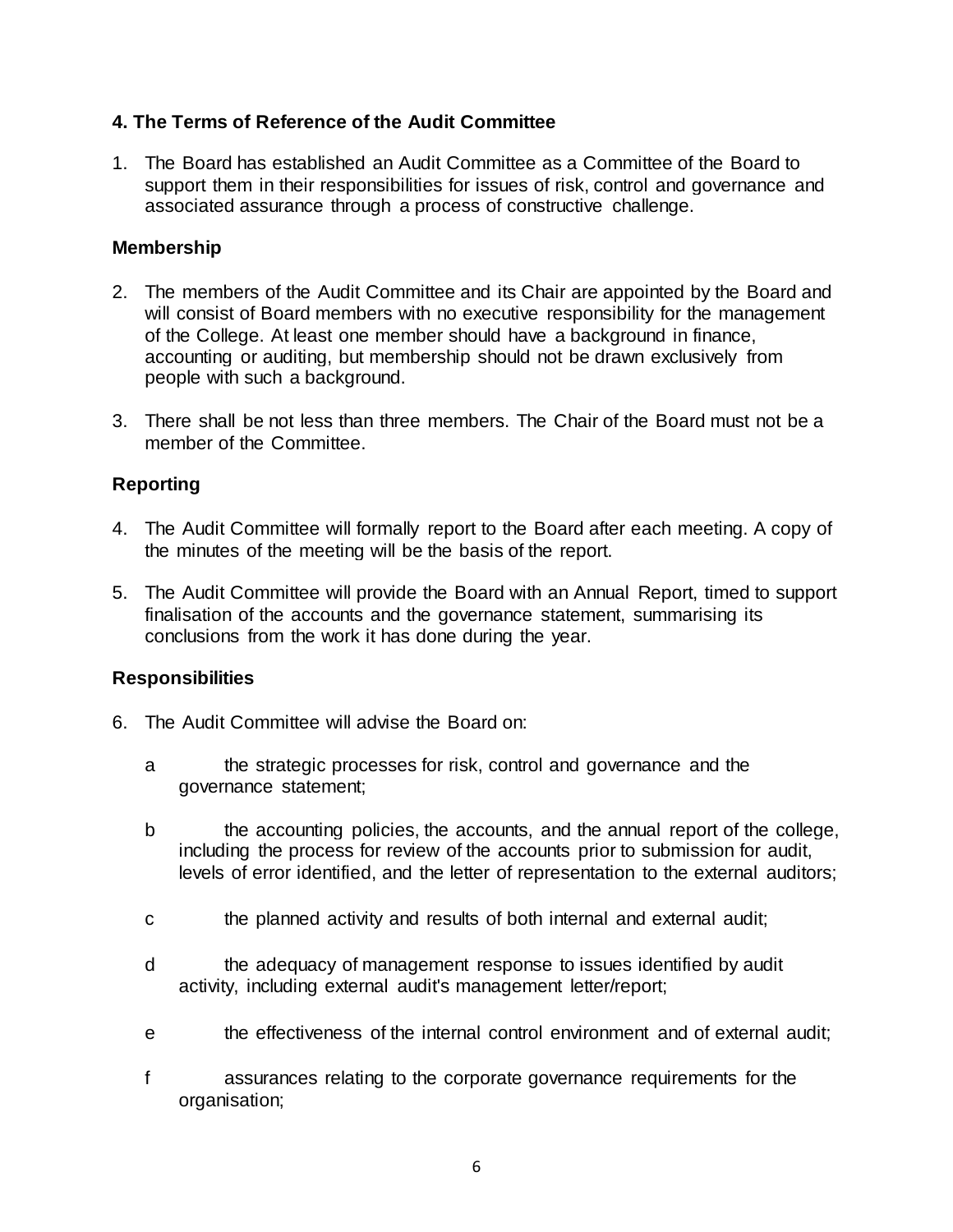#### **4. The Terms of Reference of the Audit Committee**

1. The Board has established an Audit Committee as a Committee of the Board to support them in their responsibilities for issues of risk, control and governance and associated assurance through a process of constructive challenge.

#### **Membership**

- 2. The members of the Audit Committee and its Chair are appointed by the Board and will consist of Board members with no executive responsibility for the management of the College. At least one member should have a background in finance, accounting or auditing, but membership should not be drawn exclusively from people with such a background.
- 3. There shall be not less than three members. The Chair of the Board must not be a member of the Committee.

#### **Reporting**

- 4. The Audit Committee will formally report to the Board after each meeting. A copy of the minutes of the meeting will be the basis of the report.
- 5. The Audit Committee will provide the Board with an Annual Report, timed to support finalisation of the accounts and the governance statement, summarising its conclusions from the work it has done during the year.

#### **Responsibilities**

- 6. The Audit Committee will advise the Board on:
	- a the strategic processes for risk, control and governance and the governance statement;
	- b the accounting policies, the accounts, and the annual report of the college, including the process for review of the accounts prior to submission for audit, levels of error identified, and the letter of representation to the external auditors;
	- c the planned activity and results of both internal and external audit;
	- d the adequacy of management response to issues identified by audit activity, including external audit's management letter/report;
	- e the effectiveness of the internal control environment and of external audit;
	- f assurances relating to the corporate governance requirements for the organisation;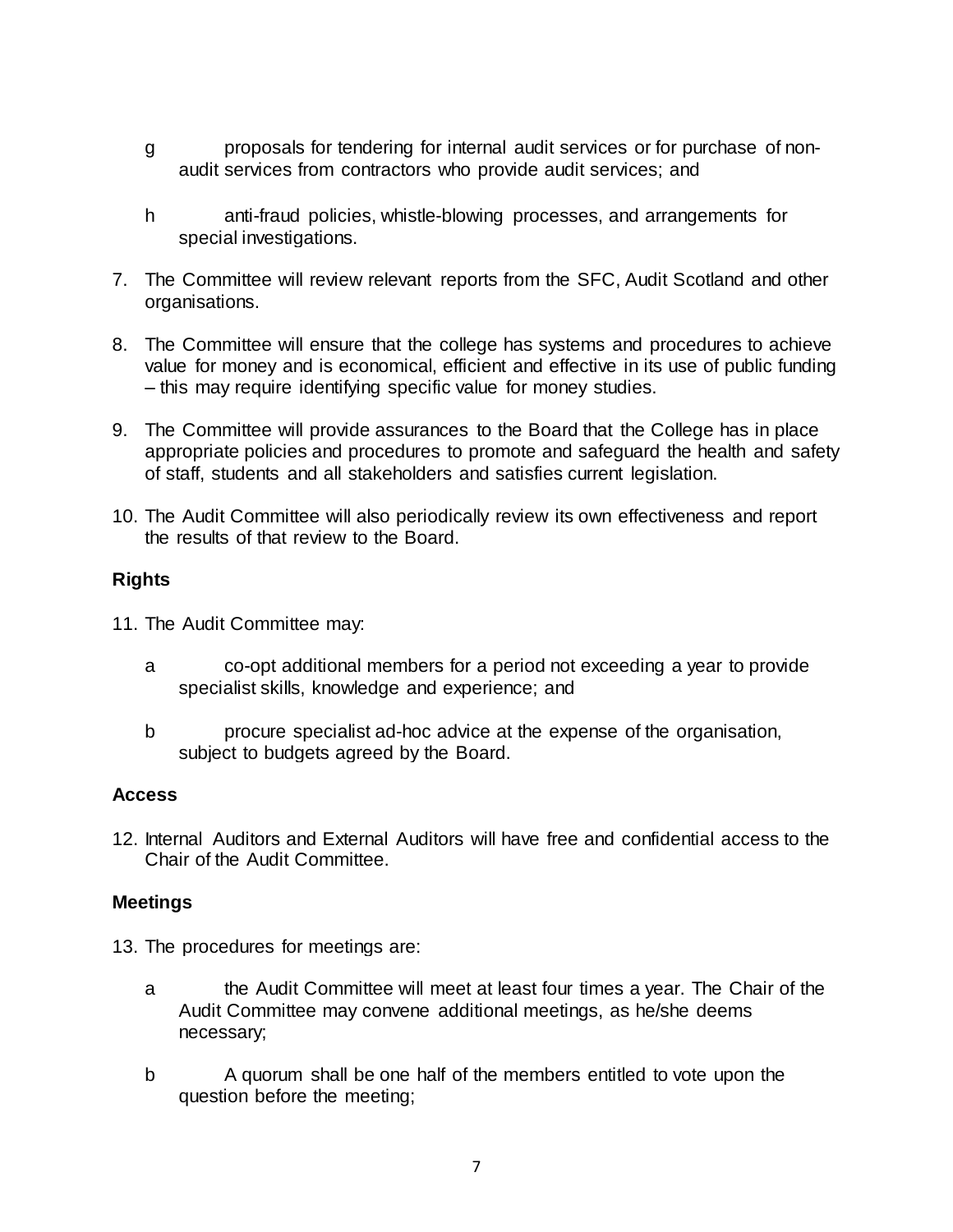- g proposals for tendering for internal audit services or for purchase of nonaudit services from contractors who provide audit services; and
- h anti-fraud policies, whistle-blowing processes, and arrangements for special investigations.
- 7. The Committee will review relevant reports from the SFC, Audit Scotland and other organisations.
- 8. The Committee will ensure that the college has systems and procedures to achieve value for money and is economical, efficient and effective in its use of public funding – this may require identifying specific value for money studies.
- 9. The Committee will provide assurances to the Board that the College has in place appropriate policies and procedures to promote and safeguard the health and safety of staff, students and all stakeholders and satisfies current legislation.
- 10. The Audit Committee will also periodically review its own effectiveness and report the results of that review to the Board.

#### **Rights**

- 11. The Audit Committee may:
	- a co-opt additional members for a period not exceeding a year to provide specialist skills, knowledge and experience; and
	- b procure specialist ad-hoc advice at the expense of the organisation, subject to budgets agreed by the Board.

#### **Access**

12. Internal Auditors and External Auditors will have free and confidential access to the Chair of the Audit Committee.

#### **Meetings**

- 13. The procedures for meetings are:
	- a the Audit Committee will meet at least four times a year. The Chair of the Audit Committee may convene additional meetings, as he/she deems necessary;
	- b A quorum shall be one half of the members entitled to vote upon the question before the meeting;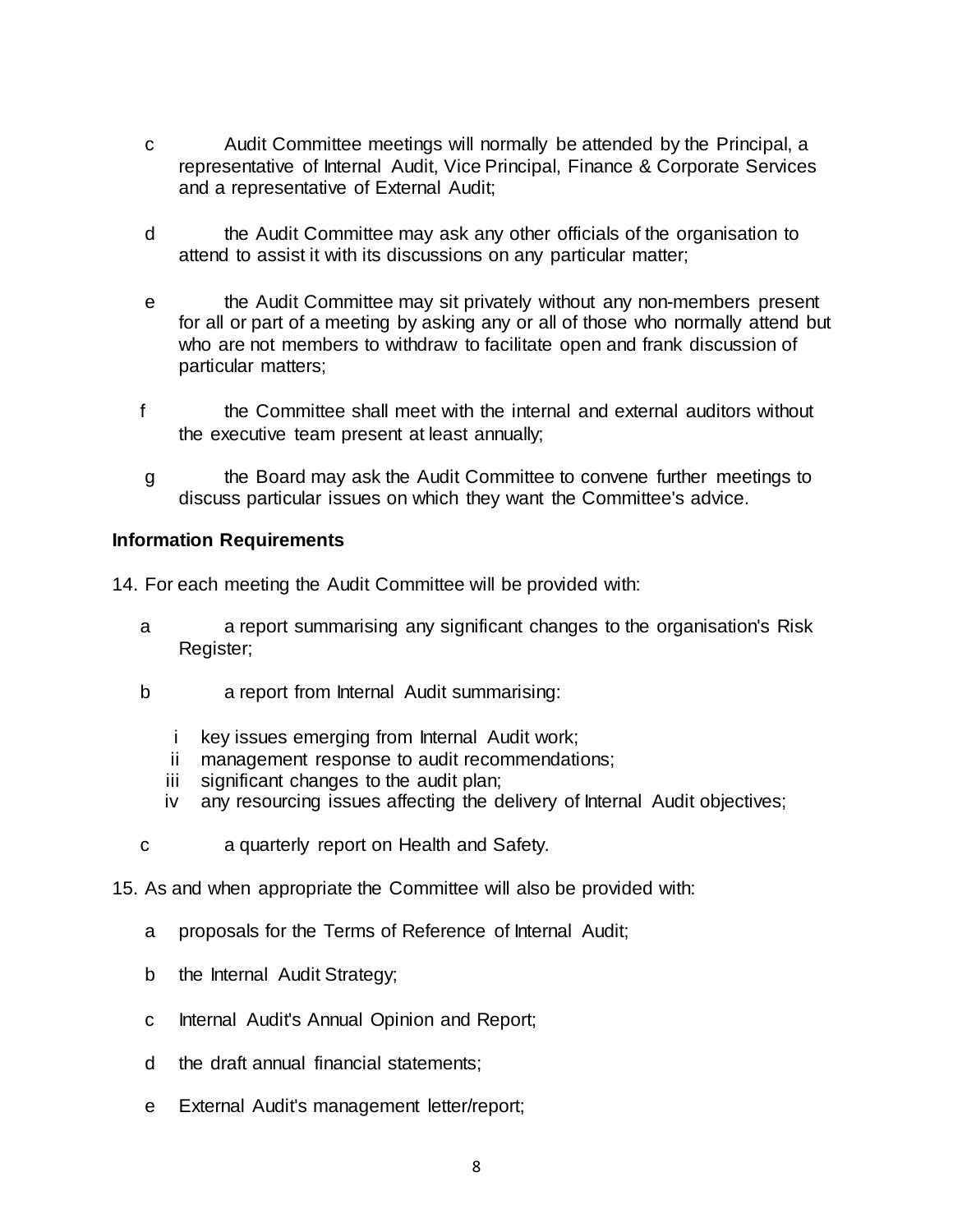- c Audit Committee meetings will normally be attended by the Principal, a representative of Internal Audit, Vice Principal, Finance & Corporate Services and a representative of External Audit;
- d the Audit Committee may ask any other officials of the organisation to attend to assist it with its discussions on any particular matter;
- e the Audit Committee may sit privately without any non-members present for all or part of a meeting by asking any or all of those who normally attend but who are not members to withdraw to facilitate open and frank discussion of particular matters;
- f the Committee shall meet with the internal and external auditors without the executive team present at least annually;
- g the Board may ask the Audit Committee to convene further meetings to discuss particular issues on which they want the Committee's advice.

#### **Information Requirements**

14. For each meeting the Audit Committee will be provided with:

- a a report summarising any significant changes to the organisation's Risk Register;
- b a report from Internal Audit summarising:
	- i key issues emerging from Internal Audit work;
	- ii management response to audit recommendations;
	- iii significant changes to the audit plan;
	- iv any resourcing issues affecting the delivery of Internal Audit objectives;
- c a quarterly report on Health and Safety.
- 15. As and when appropriate the Committee will also be provided with:
	- a proposals for the Terms of Reference of Internal Audit;
	- b the Internal Audit Strategy;
	- c Internal Audit's Annual Opinion and Report;
	- d the draft annual financial statements;
	- e External Audit's management letter/report;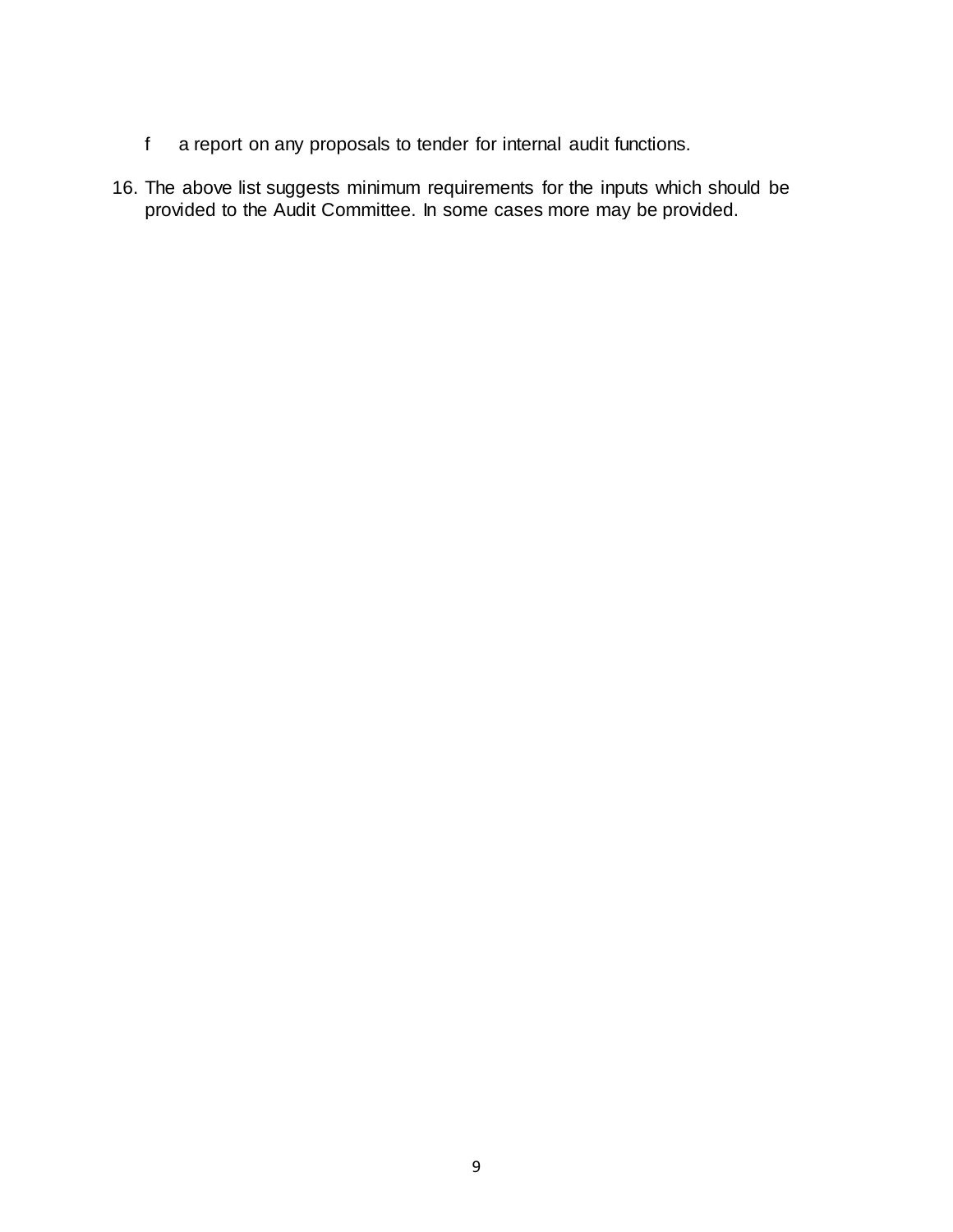- f a report on any proposals to tender for internal audit functions.
- 16. The above list suggests minimum requirements for the inputs which should be provided to the Audit Committee. In some cases more may be provided.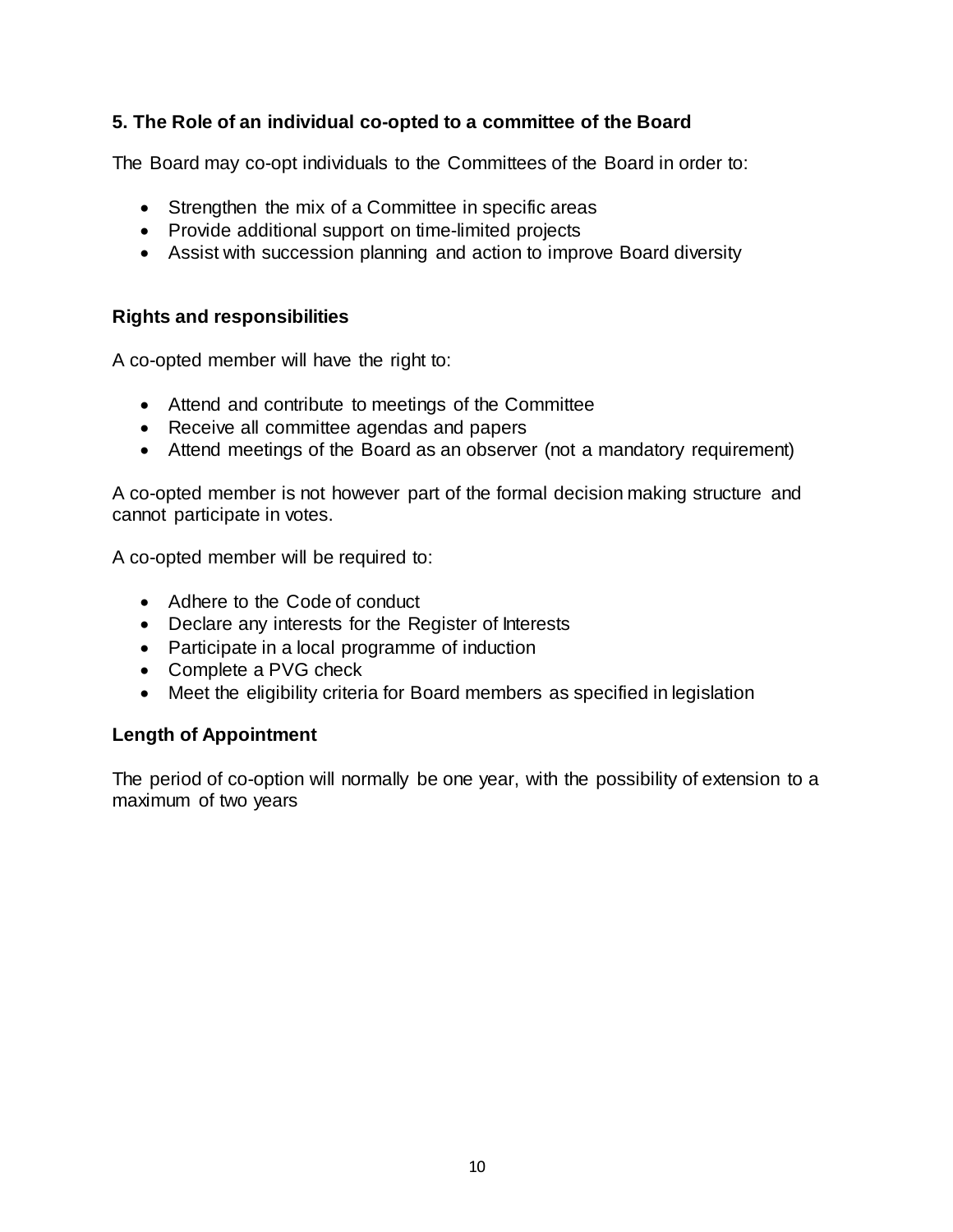#### **5. The Role of an individual co-opted to a committee of the Board**

The Board may co-opt individuals to the Committees of the Board in order to:

- Strengthen the mix of a Committee in specific areas
- Provide additional support on time-limited projects
- Assist with succession planning and action to improve Board diversity

#### **Rights and responsibilities**

A co-opted member will have the right to:

- Attend and contribute to meetings of the Committee
- Receive all committee agendas and papers
- Attend meetings of the Board as an observer (not a mandatory requirement)

A co-opted member is not however part of the formal decision making structure and cannot participate in votes.

A co-opted member will be required to:

- Adhere to the Code of conduct
- Declare any interests for the Register of Interests
- Participate in a local programme of induction
- Complete a PVG check
- Meet the eligibility criteria for Board members as specified in legislation

#### **Length of Appointment**

The period of co-option will normally be one year, with the possibility of extension to a maximum of two years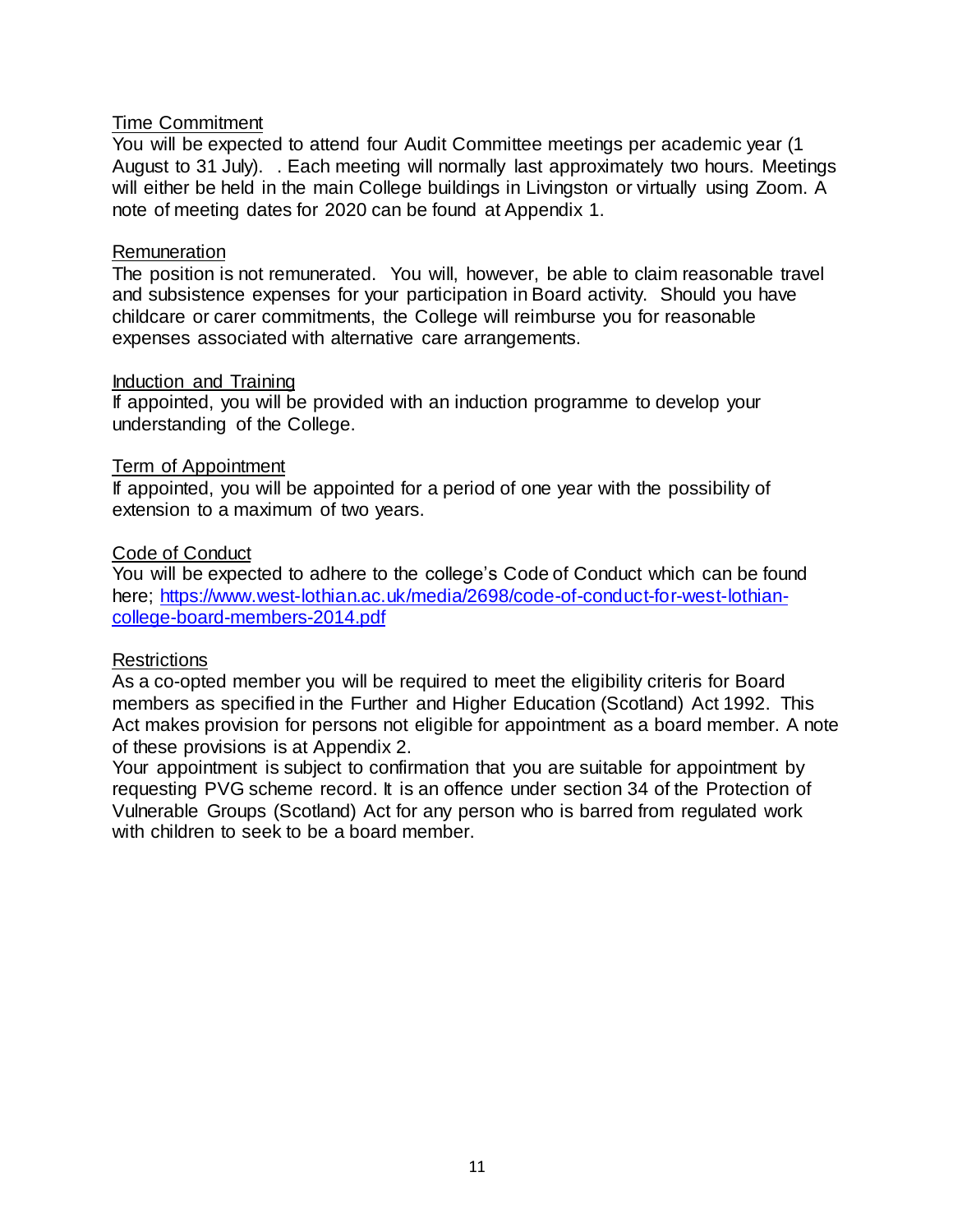#### Time Commitment

You will be expected to attend four Audit Committee meetings per academic year (1 August to 31 July). . Each meeting will normally last approximately two hours. Meetings will either be held in the main College buildings in Livingston or virtually using Zoom. A note of meeting dates for 2020 can be found at Appendix 1.

#### Remuneration

The position is not remunerated. You will, however, be able to claim reasonable travel and subsistence expenses for your participation in Board activity. Should you have childcare or carer commitments, the College will reimburse you for reasonable expenses associated with alternative care arrangements.

#### Induction and Training

If appointed, you will be provided with an induction programme to develop your understanding of the College.

#### Term of Appointment

If appointed, you will be appointed for a period of one year with the possibility of extension to a maximum of two years.

#### Code of Conduct

You will be expected to adhere to the college's Code of Conduct which can be found here; [https://www.west-lothian.ac.uk/media/2698/code-of-conduct-for-west-lothian](https://www.west-lothian.ac.uk/media/2698/code-of-conduct-for-west-lothian-college-board-members-2014.pdf)[college-board-members-2014.pdf](https://www.west-lothian.ac.uk/media/2698/code-of-conduct-for-west-lothian-college-board-members-2014.pdf)

#### Restrictions

As a co-opted member you will be required to meet the eligibility criteris for Board members as specified in the Further and Higher Education (Scotland) Act 1992. This Act makes provision for persons not eligible for appointment as a board member. A note of these provisions is at Appendix 2.

Your appointment is subject to confirmation that you are suitable for appointment by requesting PVG scheme record. It is an offence under section 34 of the Protection of Vulnerable Groups (Scotland) Act for any person who is barred from regulated work with children to seek to be a board member.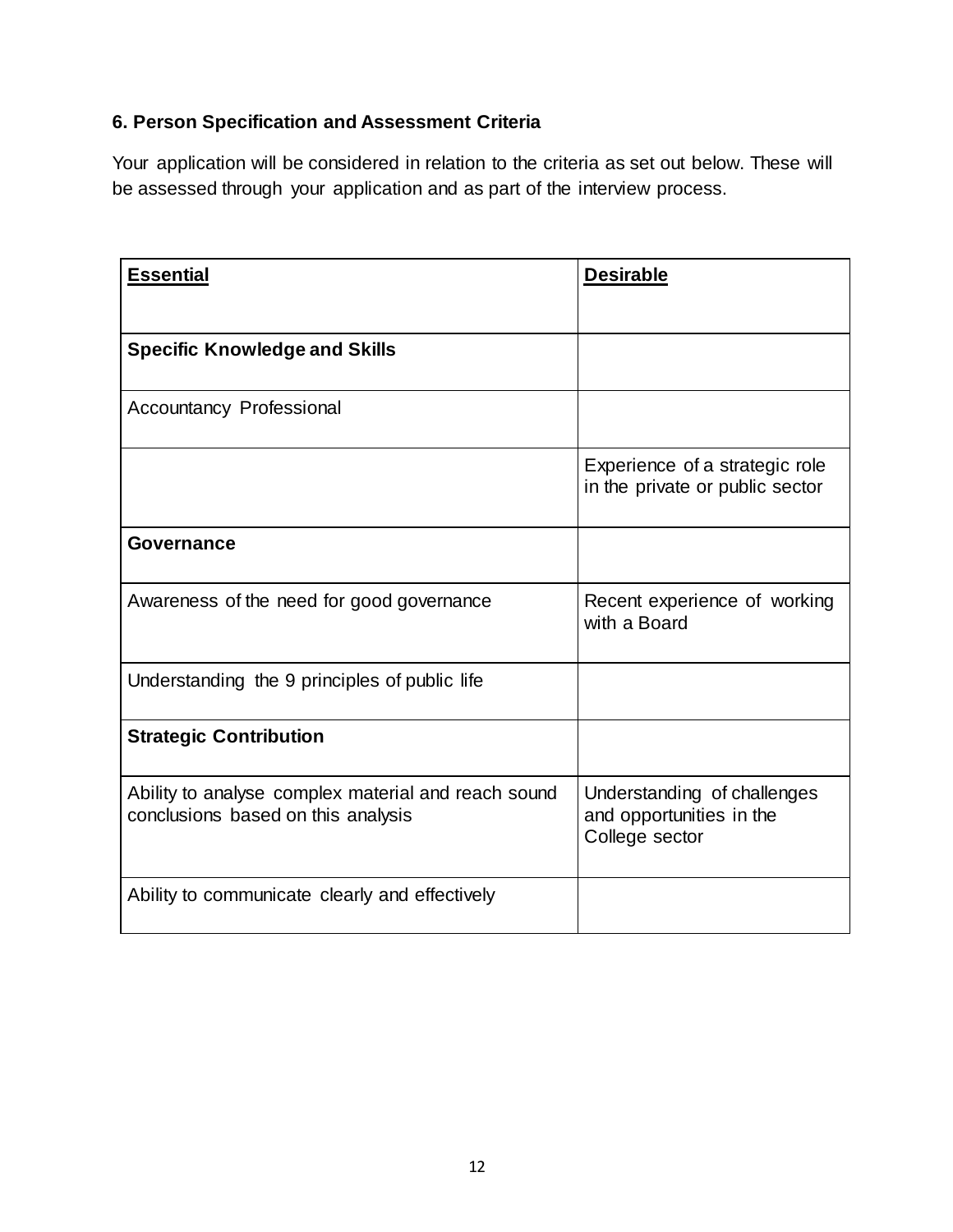#### **6. Person Specification and Assessment Criteria**

Your application will be considered in relation to the criteria as set out below. These will be assessed through your application and as part of the interview process.

| <b>Essential</b>                                                                          | <b>Desirable</b>                                                          |
|-------------------------------------------------------------------------------------------|---------------------------------------------------------------------------|
|                                                                                           |                                                                           |
| <b>Specific Knowledge and Skills</b>                                                      |                                                                           |
| <b>Accountancy Professional</b>                                                           |                                                                           |
|                                                                                           | Experience of a strategic role<br>in the private or public sector         |
| <b>Governance</b>                                                                         |                                                                           |
| Awareness of the need for good governance                                                 | Recent experience of working<br>with a Board                              |
| Understanding the 9 principles of public life                                             |                                                                           |
| <b>Strategic Contribution</b>                                                             |                                                                           |
| Ability to analyse complex material and reach sound<br>conclusions based on this analysis | Understanding of challenges<br>and opportunities in the<br>College sector |
| Ability to communicate clearly and effectively                                            |                                                                           |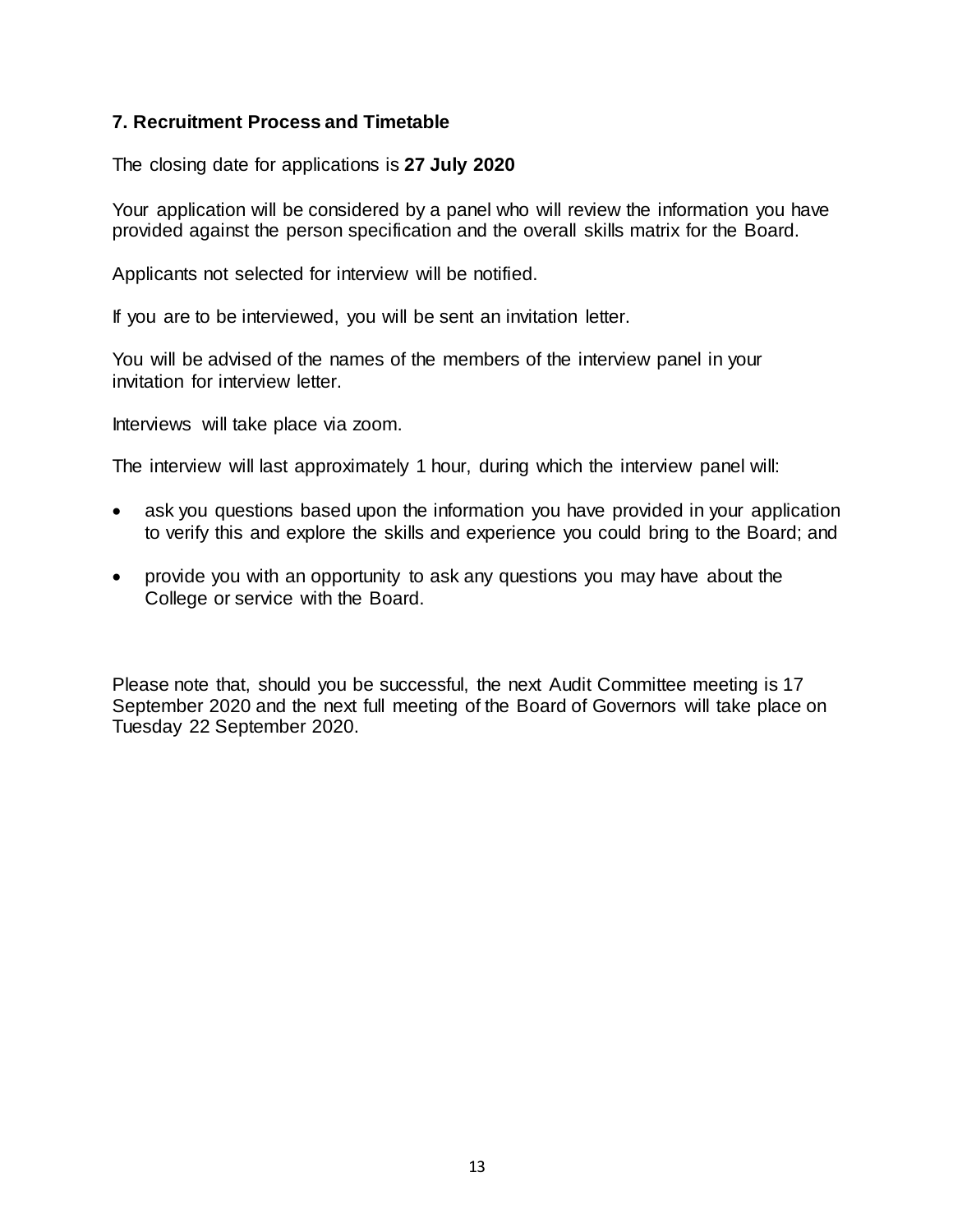#### **7. Recruitment Process and Timetable**

The closing date for applications is **27 July 2020**

Your application will be considered by a panel who will review the information you have provided against the person specification and the overall skills matrix for the Board.

Applicants not selected for interview will be notified.

If you are to be interviewed, you will be sent an invitation letter.

You will be advised of the names of the members of the interview panel in your invitation for interview letter.

Interviews will take place via zoom.

The interview will last approximately 1 hour, during which the interview panel will:

- ask you questions based upon the information you have provided in your application to verify this and explore the skills and experience you could bring to the Board; and
- provide you with an opportunity to ask any questions you may have about the College or service with the Board.

Please note that, should you be successful, the next Audit Committee meeting is 17 September 2020 and the next full meeting of the Board of Governors will take place on Tuesday 22 September 2020.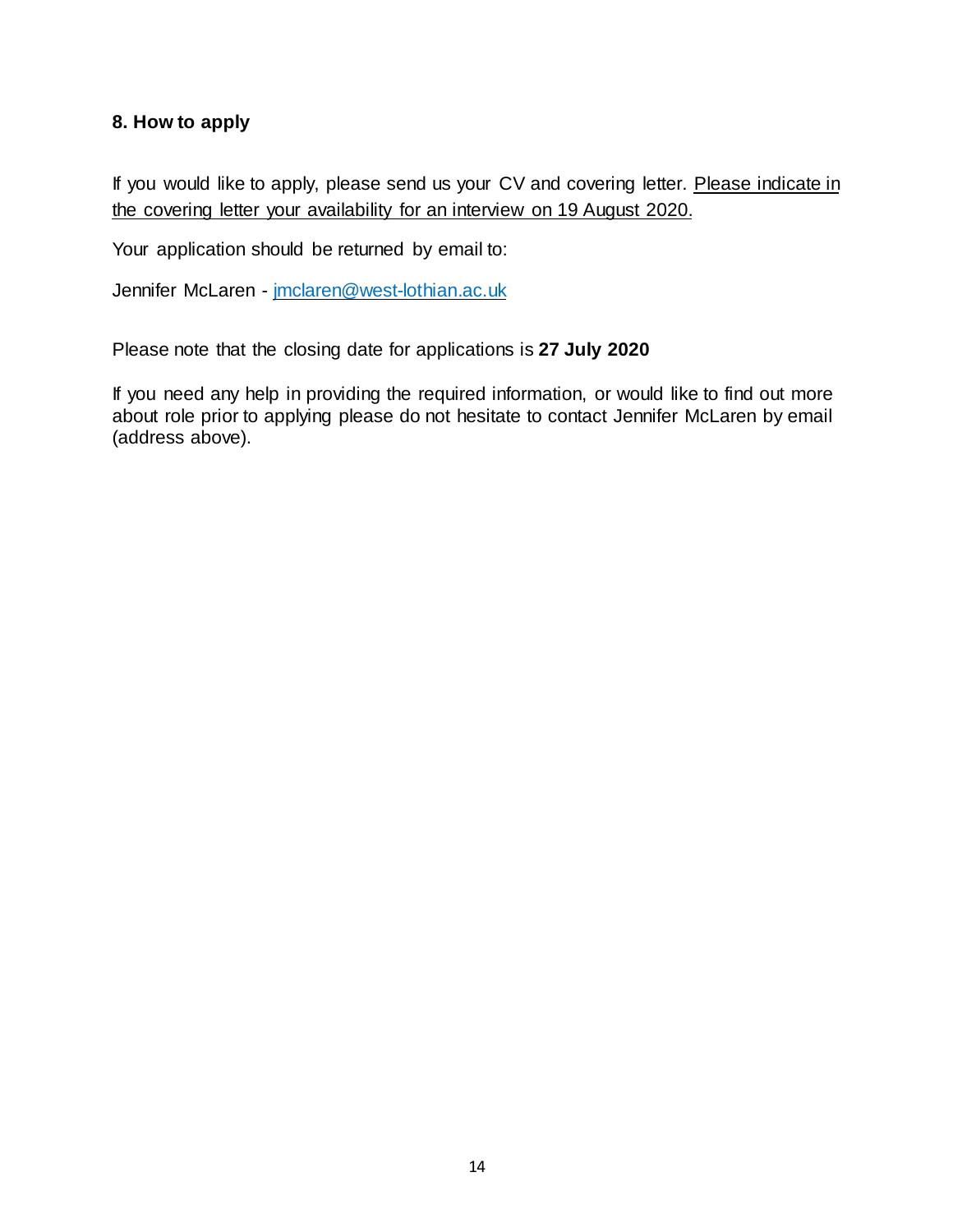#### **8. How to apply**

If you would like to apply, please send us your CV and covering letter. Please indicate in the covering letter your availability for an interview on 19 August 2020.

Your application should be returned by email to:

Jennifer McLaren - [jmclaren@west-lothian.ac.uk](mailto:jmclaren@west-lothian.ac.uk)

Please note that the closing date for applications is **27 July 2020**

If you need any help in providing the required information, or would like to find out more about role prior to applying please do not hesitate to contact Jennifer McLaren by email (address above).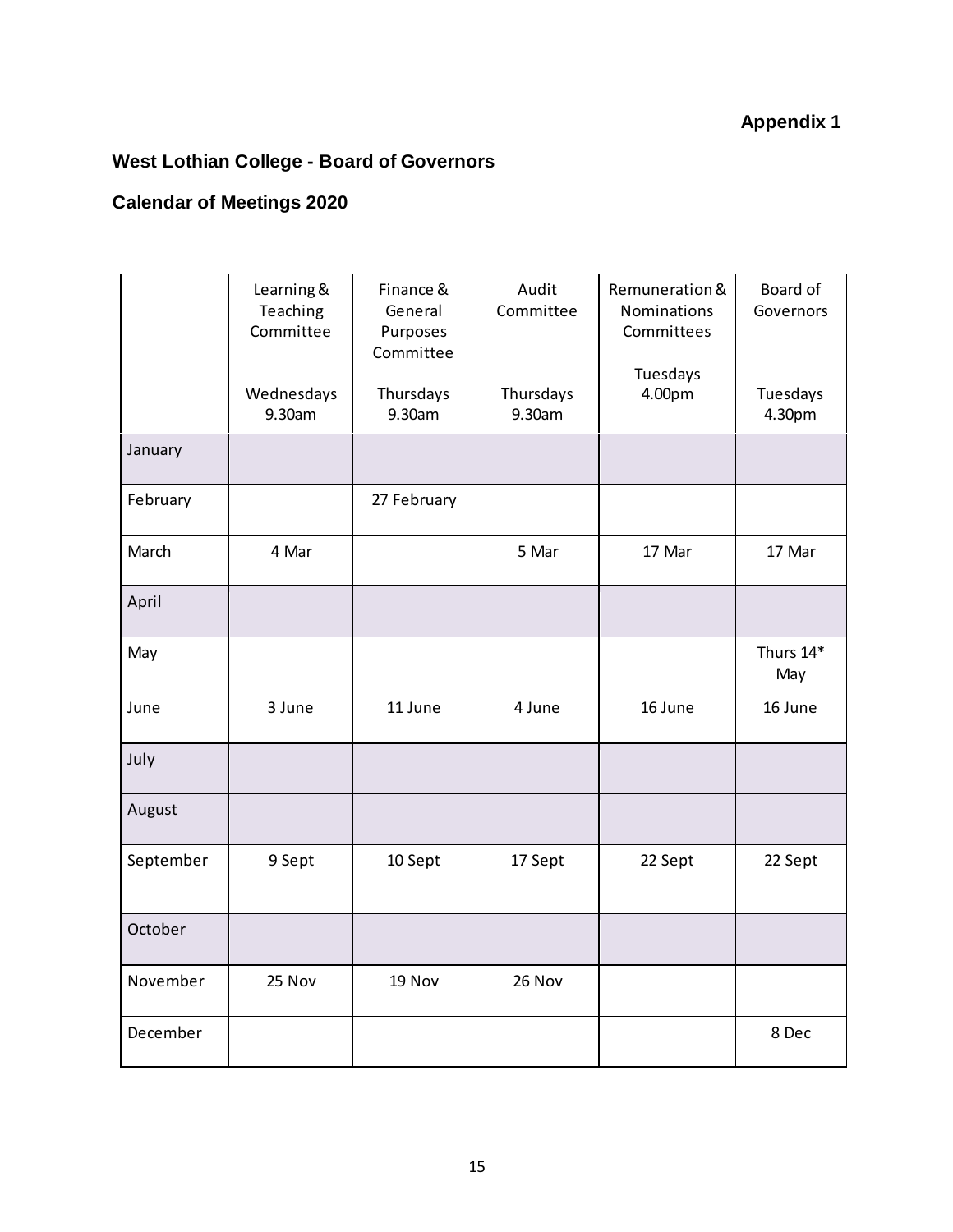#### **Appendix 1**

#### **West Lothian College - Board of Governors**

#### **Calendar of Meetings 2020**

|           | Learning &<br>Teaching<br>Committee<br>Wednesdays | Finance &<br>General<br>Purposes<br>Committee<br>Thursdays | Audit<br>Committee<br>Thursdays | Remuneration &<br>Nominations<br>Committees<br>Tuesdays<br>4.00pm | Board of<br>Governors<br>Tuesdays |
|-----------|---------------------------------------------------|------------------------------------------------------------|---------------------------------|-------------------------------------------------------------------|-----------------------------------|
|           | 9.30am                                            | 9.30am                                                     | 9.30am                          |                                                                   | 4.30pm                            |
| January   |                                                   |                                                            |                                 |                                                                   |                                   |
| February  |                                                   | 27 February                                                |                                 |                                                                   |                                   |
| March     | 4 Mar                                             |                                                            | 5 Mar                           | 17 Mar                                                            | 17 Mar                            |
| April     |                                                   |                                                            |                                 |                                                                   |                                   |
| May       |                                                   |                                                            |                                 |                                                                   | Thurs 14*<br>May                  |
| June      | 3 June                                            | 11 June                                                    | 4 June                          | 16 June                                                           | 16 June                           |
| July      |                                                   |                                                            |                                 |                                                                   |                                   |
| August    |                                                   |                                                            |                                 |                                                                   |                                   |
| September | 9 Sept                                            | 10 Sept                                                    | 17 Sept                         | 22 Sept                                                           | 22 Sept                           |
| October   |                                                   |                                                            |                                 |                                                                   |                                   |
| November  | 25 Nov                                            | 19 Nov                                                     | 26 Nov                          |                                                                   |                                   |
| December  |                                                   |                                                            |                                 |                                                                   | 8 Dec                             |